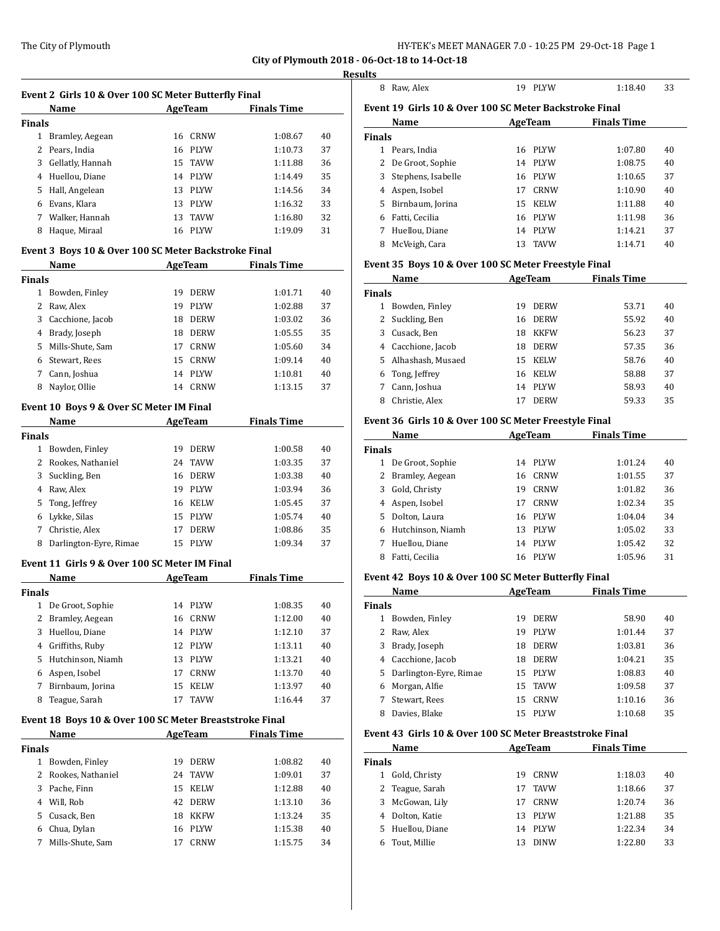**City of Plymouth 2018** 

|               | Name                                                    |         | AgeTeam     | <b>Finals Time</b> |    |
|---------------|---------------------------------------------------------|---------|-------------|--------------------|----|
| <b>Finals</b> |                                                         |         |             |                    |    |
|               | 1 Bramley, Aegean                                       |         | 16 CRNW     | 1:08.67            | 40 |
|               | 2 Pears, India                                          |         | 16 PLYW     | 1:10.73            | 37 |
|               | 3 Gellatly, Hannah                                      | 15      | TAVW        | 1:11.88            | 36 |
|               | 4 Huellou, Diane                                        |         | 14 PLYW     | 1:14.49            | 35 |
|               |                                                         |         |             |                    |    |
|               | 5 Hall, Angelean                                        |         | 13 PLYW     | 1:14.56            | 34 |
|               | 6 Evans, Klara                                          |         | 13 PLYW     | 1:16.32            | 33 |
|               | 7 Walker, Hannah                                        |         | 13 TAVW     | 1:16.80            | 32 |
| 8             | Haque, Miraal                                           |         | 16 PLYW     | 1:19.09            | 31 |
|               | Event 3 Boys 10 & Over 100 SC Meter Backstroke Final    |         |             |                    |    |
|               | Name                                                    |         | AgeTeam     | <b>Finals Time</b> |    |
| <b>Finals</b> |                                                         |         |             |                    |    |
|               | 1 Bowden, Finley                                        | 19      | <b>DERW</b> | 1:01.71            | 40 |
| $\mathbf{2}$  | Raw, Alex                                               | 19      | PLYW        | 1:02.88            | 37 |
|               | 3 Cacchione, Jacob                                      |         | 18 DERW     | 1:03.02            | 36 |
|               | 4 Brady, Joseph                                         |         | 18 DERW     | 1:05.55            | 35 |
|               | 5 Mills-Shute, Sam                                      | 17      | CRNW        | 1:05.60            | 34 |
|               | 6 Stewart, Rees                                         |         | 15 CRNW     | 1:09.14            | 40 |
| 7             | Cann, Joshua                                            |         | 14 PLYW     | 1:10.81            | 40 |
| 8             | Naylor, Ollie                                           |         | 14 CRNW     | 1:13.15            | 37 |
|               | Event 10 Boys 9 & Over SC Meter IM Final                |         |             |                    |    |
|               | Name                                                    |         | AgeTeam     | <b>Finals Time</b> |    |
| <b>Finals</b> |                                                         |         |             |                    |    |
|               | 1 Bowden, Finley                                        |         | 19 DERW     | 1:00.58            | 40 |
|               | 2 Rookes, Nathaniel                                     |         | 24 TAVW     | 1:03.35            | 37 |
| 3             | Suckling, Ben                                           |         | 16 DERW     | 1:03.38            | 40 |
|               | 4 Raw, Alex                                             |         | 19 PLYW     | 1:03.94            | 36 |
| 5.            | Tong, Jeffrey                                           |         | 16 KELW     | 1:05.45            | 37 |
|               | 6 Lykke, Silas                                          | 15      | <b>PLYW</b> | 1:05.74            | 40 |
| 7             | Christie, Alex                                          | 17      | <b>DERW</b> | 1:08.86            | 35 |
| 8             | Darlington-Eyre, Rimae                                  |         | 15 PLYW     | 1:09.34            | 37 |
|               | Event 11 Girls 9 & Over 100 SC Meter IM Final           |         |             |                    |    |
|               | Name                                                    | AgeTeam |             | <b>Finals Time</b> |    |
| <b>Finals</b> |                                                         |         |             |                    |    |
| 1             | De Groot, Sophie                                        | 14      | PLYW        | 1:08.35            | 40 |
| 2             | Bramley, Aegean                                         | 16      | CRNW        | 1:12.00            | 40 |
|               | 3 Huellou, Diane                                        |         | 14 PLYW     | 1:12.10            | 37 |
|               | 4 Griffiths, Ruby                                       |         | 12 PLYW     | 1:13.11            | 40 |
| 5             | Hutchinson, Niamh                                       |         |             |                    |    |
|               | Aspen, Isobel                                           | 13      | PLYW        | 1:13.21            | 40 |
| 6             |                                                         | 17      | CRNW        | 1:13.70            | 40 |
| 7             | Birnbaum, Jorina                                        | 15      | KELW        | 1:13.97            | 40 |
| 8             | Teague, Sarah                                           | 17      | <b>TAVW</b> | 1:16.44            | 37 |
|               | Event 18 Boys 10 & Over 100 SC Meter Breaststroke Final |         |             |                    |    |
|               | Name                                                    |         | AgeTeam     | <b>Finals Time</b> |    |
| <b>Finals</b> |                                                         |         |             |                    |    |
|               | 1 Bowden, Finley                                        | 19      | <b>DERW</b> | 1:08.82            | 40 |
| 2             | Rookes, Nathaniel                                       | 24      | TAVW        | 1:09.01            | 37 |
| 3             | Pache, Finn                                             | 15      | KELW        | 1:12.88            | 40 |
|               | 4 Will, Rob                                             |         | 42 DERW     | 1:13.10            | 36 |
|               | 5 Cusack, Ben                                           |         | 18 KKFW     | 1:13.24            | 35 |
| 6             | Chua, Dylan                                             | 16      | PLYW        | 1:15.38            | 40 |
|               | Mills-Shute, Sam                                        |         |             |                    |    |

|               | 8 Raw, Alex                                              |                | 19 PLYW        | 1:18.40            | 33       |
|---------------|----------------------------------------------------------|----------------|----------------|--------------------|----------|
|               | Event 19 Girls 10 & Over 100 SC Meter Backstroke Final   |                |                |                    |          |
|               | Name                                                     |                | AgeTeam        | <b>Finals Time</b> |          |
| <b>Finals</b> |                                                          |                |                |                    |          |
|               | 1 Pears, India                                           |                | 16 PLYW        | 1:07.80            | 40       |
|               | 2 De Groot, Sophie                                       |                | 14 PLYW        | 1:08.75            | 40       |
|               | 3 Stephens, Isabelle                                     |                | 16 PLYW        | 1:10.65            | 37       |
|               | 4 Aspen, Isobel                                          |                | 17 CRNW        | 1:10.90            | 40       |
|               | 5 Birnbaum, Jorina                                       |                | 15 KELW        | 1:11.88            | 40       |
|               | 6 Fatti, Cecilia                                         |                |                |                    | 36       |
|               |                                                          |                | 16 PLYW        | 1:11.98            |          |
|               | 7 Huellou, Diane                                         |                | 14 PLYW        | 1:14.21            | 37       |
|               | 8 McVeigh, Cara                                          |                | 13 TAVW        | 1:14.71            | 40       |
|               | Event 35 Boys 10 & Over 100 SC Meter Freestyle Final     |                |                |                    |          |
|               | Name                                                     |                | AgeTeam        | <b>Finals Time</b> |          |
| <b>Finals</b> |                                                          |                |                |                    |          |
|               | 1 Bowden, Finley                                         |                | 19 DERW        | 53.71              | 40       |
|               | 2 Suckling, Ben                                          |                | 16 DERW        | 55.92              | 40       |
|               | 3 Cusack, Ben                                            |                | 18 KKFW        | 56.23              | 37       |
|               | 4 Cacchione, Jacob                                       |                | 18 DERW        | 57.35              | 36       |
|               | 5 Alhashash, Musaed                                      |                | 15 KELW        | 58.76              | 40       |
|               | 6 Tong, Jeffrey                                          |                | 16 KELW        | 58.88              | 37       |
|               | 7 Cann, Joshua                                           |                | 14 PLYW        | 58.93              | 40       |
|               | 8 Christie, Alex                                         |                | 17 DERW        | 59.33              | 35       |
|               | Event 36 Girls 10 & Over 100 SC Meter Freestyle Final    |                |                |                    |          |
|               | <b>Name</b>                                              |                | AgeTeam        | <b>Finals Time</b> |          |
| <b>Finals</b> |                                                          |                |                |                    |          |
|               | 1 De Groot, Sophie                                       |                | 14 PLYW        | 1:01.24            | 40       |
|               | 2 Bramley, Aegean                                        |                | 16 CRNW        | 1:01.55            | 37       |
|               | 3 Gold, Christy                                          |                | 19 CRNW        | 1:01.82            | 36       |
|               |                                                          |                | 17 CRNW        | 1:02.34            | 35       |
|               | 4 Aspen, Isobel                                          |                |                |                    |          |
|               | 5 Dolton, Laura                                          |                | 16 PLYW        | 1:04.04            | 34       |
|               | 6 Hutchinson, Niamh                                      |                | 13 PLYW        | 1:05.02            | 33       |
|               | 7 Huellou, Diane                                         |                | 14 PLYW        | 1:05.42            | 32       |
|               | 8 Fatti, Cecilia                                         |                | 16 PLYW        | 1:05.96            | 31       |
|               | Event 42 Boys 10 & Over 100 SC Meter Butterfly Final     |                |                |                    |          |
|               | <b>Name</b>                                              | <b>AgeTeam</b> |                | <b>Finals Time</b> |          |
| <b>Finals</b> |                                                          |                |                |                    |          |
|               | 1 Bowden, Finley                                         |                | 19 DERW        | 58.90              | 40       |
| 2             | Raw, Alex                                                |                | 19 PLYW        | 1:01.44            | 37       |
|               | 3 Brady, Joseph                                          |                | 18 DERW        | 1:03.81            | 36       |
|               | 4 Cacchione, Jacob                                       |                | 18 DERW        | 1:04.21            | 35       |
|               | 5 Darlington-Eyre, Rimae                                 |                | 15 PLYW        | 1:08.83            | 40       |
|               | 6 Morgan, Alfie                                          | 15             | <b>TAVW</b>    | 1:09.58            | 37       |
| 7             | Stewart, Rees                                            | 15             | CRNW           | 1:10.16            | 36       |
|               | 8 Davies, Blake                                          |                | 15 PLYW        | 1:10.68            | 35       |
|               |                                                          |                |                |                    |          |
|               |                                                          |                |                |                    |          |
|               | Event 43 Girls 10 & Over 100 SC Meter Breaststroke Final |                |                |                    |          |
|               | Name                                                     |                | <b>AgeTeam</b> | <b>Finals Time</b> |          |
| <b>Finals</b> |                                                          |                |                |                    |          |
| 2             | 1 Gold, Christy<br>Teague, Sarah                         | 19<br>17       | CRNW<br>TAVW   | 1:18.03<br>1:18.66 | 40<br>37 |

 Dolton, Katie 13 PLYW 1:21.88 35 Huellou, Diane 14 PLYW 1:22.34 34 Tout, Millie 13 DINW 1:22.80 33